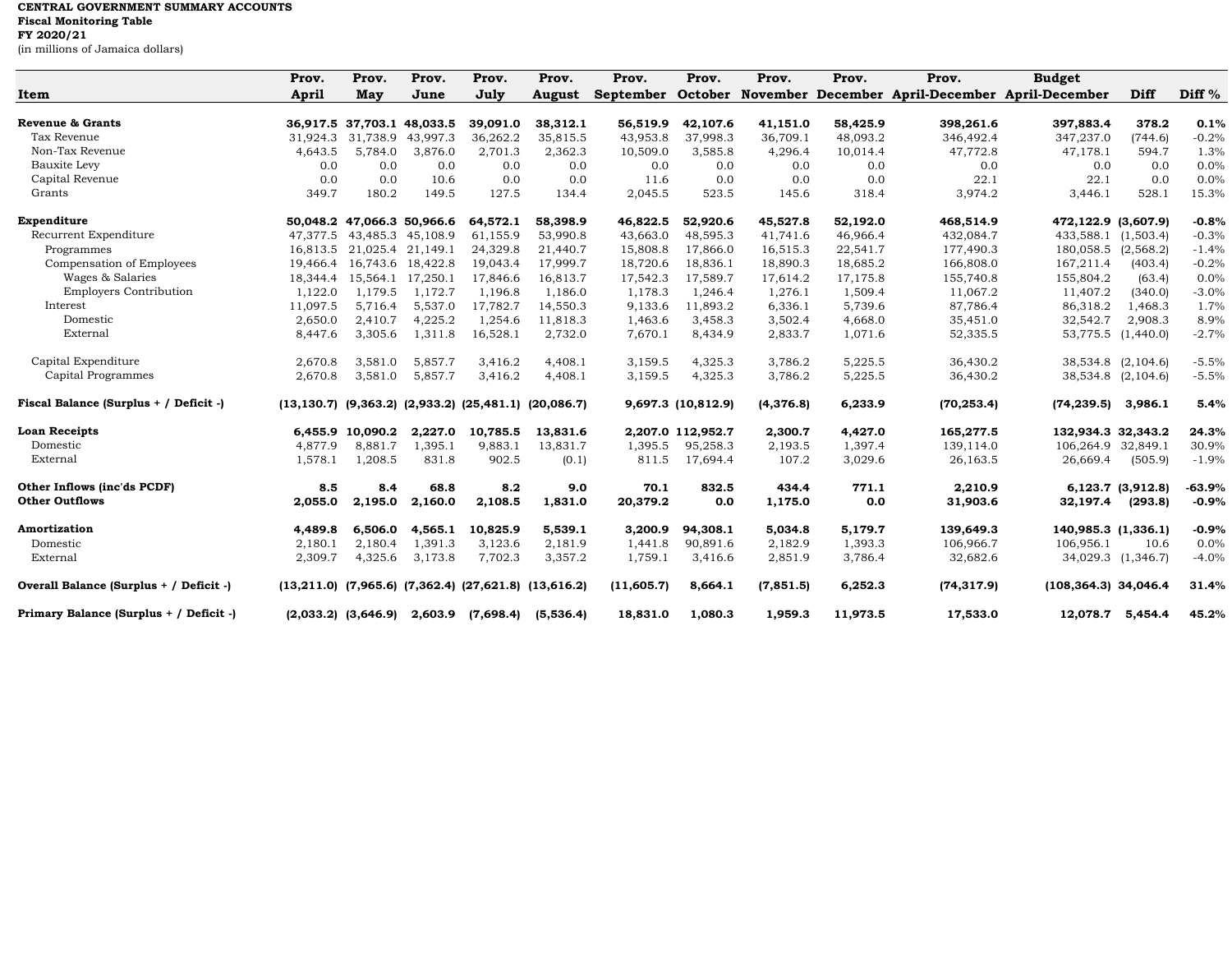## **CENTRAL GOVERNMENT SUMMARY ACCOUNTS**

**Fiscal Monitoring Table**

**FY 2020/21**

(in millions of Jamaica dollars)

|                                         | Prov.    | Prov.                      | Prov.             | Prov.     | Prov.                                                               | Prov.            | Prov.              | Prov.     | Prov.    | Prov.                                                   | <b>Budget</b>           |                   |          |
|-----------------------------------------|----------|----------------------------|-------------------|-----------|---------------------------------------------------------------------|------------------|--------------------|-----------|----------|---------------------------------------------------------|-------------------------|-------------------|----------|
| Item                                    | April    | <b>May</b>                 | June              | Jully     | <b>August</b>                                                       | <b>September</b> |                    |           |          | October November December April-December April-December |                         | Diff              | Diff $%$ |
| <b>Revenue &amp; Grants</b>             |          | 36,917.5 37,703.1 48,033.5 |                   | 39,091.0  | 38,312.1                                                            | 56,519.9         | 42,107.6           | 41,151.0  | 58,425.9 | 398,261.6                                               | 397,883.4               | 378.2             | 0.1%     |
| Tax Revenue                             | 31,924.3 | 31,738.9                   | 43,997.3          | 36,262.2  | 35,815.5                                                            | 43,953.8         | 37,998.3           | 36,709.1  | 48,093.2 | 346,492.4                                               | 347,237.0               | (744.6)           | $-0.2%$  |
| Non-Tax Revenue                         | 4,643.5  | 5,784.0                    | 3,876.0           | 2,701.3   | 2,362.3                                                             | 10,509.0         | 3,585.8            | 4,296.4   | 10,014.4 | 47,772.8                                                | 47,178.1                | 594.7             | 1.3%     |
| Bauxite Levy                            | 0.0      | 0.0                        | 0.0               | 0.0       | 0.0                                                                 | 0.0              | 0.0                | 0.0       | 0.0      | 0.0                                                     | 0.0                     | 0.0               | 0.0%     |
| Capital Revenue                         | 0.0      | 0.0                        | 10.6              | 0.0       | 0.0                                                                 | 11.6             | 0.0                | 0.0       | 0.0      | 22.1                                                    | 22.1                    | 0.0               | 0.0%     |
| Grants                                  | 349.7    | 180.2                      | 149.5             | 127.5     | 134.4                                                               | 2,045.5          | 523.5              | 145.6     | 318.4    | 3,974.2                                                 | 3,446.1                 | 528.1             | 15.3%    |
| Expenditure                             |          | 50,048.2 47,066.3 50,966.6 |                   | 64,572.1  | 58,398.9                                                            | 46,822.5         | 52,920.6           | 45,527.8  | 52,192.0 | 468,514.9                                               | 472,122.9 (3,607.9)     |                   | $-0.8%$  |
| Recurrent Expenditure                   | 47,377.5 |                            | 43,485.3 45,108.9 | 61,155.9  | 53,990.8                                                            | 43,663.0         | 48,595.3           | 41,741.6  | 46,966.4 | 432,084.7                                               | 433,588.1               | (1,503.4)         | $-0.3%$  |
| Programmes                              | 16,813.5 |                            | 21,025.4 21,149.1 | 24,329.8  | 21,440.7                                                            | 15,808.8         | 17,866.0           | 16,515.3  | 22,541.7 | 177,490.3                                               | 180,058.5               | (2,568.2)         | $-1.4%$  |
| Compensation of Employees               | 19,466.4 |                            | 16,743.6 18,422.8 | 19,043.4  | 17,999.7                                                            | 18,720.6         | 18,836.1           | 18,890.3  | 18,685.2 | 166,808.0                                               | 167,211.4               | (403.4)           | $-0.2%$  |
| Wages & Salaries                        | 18,344.4 | 15,564.1                   | 17,250.1          | 17,846.6  | 16,813.7                                                            | 17,542.3         | 17,589.7           | 17,614.2  | 17,175.8 | 155,740.8                                               | 155,804.2               | (63.4)            | 0.0%     |
| <b>Employers Contribution</b>           | 1,122.0  | 1,179.5                    | 1,172.7           | 1,196.8   | 1,186.0                                                             | 1,178.3          | 1,246.4            | 1,276.1   | 1,509.4  | 11,067.2                                                | 11,407.2                | (340.0)           | $-3.0%$  |
| Interest                                | 11,097.5 | 5,716.4                    | 5,537.0           | 17,782.7  | 14,550.3                                                            | 9,133.6          | 11,893.2           | 6,336.1   | 5,739.6  | 87,786.4                                                | 86,318.2                | 1,468.3           | 1.7%     |
| Domestic                                | 2,650.0  | 2,410.7                    | 4,225.2           | 1,254.6   | 11,818.3                                                            | 1,463.6          | 3,458.3            | 3,502.4   | 4,668.0  | 35,451.0                                                | 32,542.7                | 2,908.3           | 8.9%     |
| External                                | 8,447.6  | 3,305.6                    | 1,311.8           | 16,528.1  | 2,732.0                                                             | 7,670.1          | 8,434.9            | 2,833.7   | 1,071.6  | 52,335.5                                                | 53,775.5                | (1,440.0)         | $-2.7%$  |
| Capital Expenditure                     | 2,670.8  | 3,581.0                    | 5,857.7           | 3,416.2   | 4,408.1                                                             | 3,159.5          | 4,325.3            | 3,786.2   | 5,225.5  | 36,430.2                                                | 38,534.8 (2,104.6)      |                   | $-5.5%$  |
| Capital Programmes                      | 2,670.8  | 3,581.0                    | 5,857.7           | 3,416.2   | 4,408.1                                                             | 3,159.5          | 4,325.3            | 3,786.2   | 5,225.5  | 36,430.2                                                | 38,534.8 (2,104.6)      |                   | $-5.5%$  |
| Fiscal Balance (Surplus + / Deficit -)  |          |                            |                   |           | $(13, 130.7)$ $(9, 363.2)$ $(2, 933.2)$ $(25, 481.1)$ $(20, 086.7)$ |                  | 9,697.3 (10,812.9) | (4,376.8) | 6,233.9  | (70, 253.4)                                             | (74, 239.5)             | 3,986.1           | 5.4%     |
| <b>Loan Receipts</b>                    |          | 6,455.9 10,090.2           | 2,227.0           | 10,785.5  | 13,831.6                                                            |                  | 2,207.0 112,952.7  | 2,300.7   | 4,427.0  | 165,277.5                                               | 132,934.3 32,343.2      |                   | 24.3%    |
| Domestic                                | 4,877.9  | 8,881.7                    | 1,395.1           | 9,883.1   | 13,831.7                                                            | 1,395.5          | 95,258.3           | 2,193.5   | 1,397.4  | 139,114.0                                               | 106,264.9               | 32,849.1          | 30.9%    |
| External                                | 1,578.1  | 1,208.5                    | 831.8             | 902.5     | (0.1)                                                               | 811.5            | 17,694.4           | 107.2     | 3,029.6  | 26,163.5                                                | 26,669.4                | (505.9)           | $-1.9%$  |
| Other Inflows (inc'ds PCDF)             | 8.5      | 8.4                        | 68.8              | 8.2       | 9.0                                                                 | 70.1             | 832.5              | 434.4     | 771.1    | 2,210.9                                                 |                         | 6,123.7 (3,912.8) | $-63.9%$ |
| <b>Other Outflows</b>                   | 2,055.0  | 2,195.0                    | 2,160.0           | 2,108.5   | 1,831.0                                                             | 20,379.2         | 0.0                | 1,175.0   | 0.0      | 31,903.6                                                | 32,197.4                | (293.8)           | $-0.9%$  |
| Amortization                            | 4,489.8  | 6,506.0                    | 4,565.1           | 10,825.9  | 5,539.1                                                             | 3,200.9          | 94,308.1           | 5,034.8   | 5,179.7  | 139,649.3                                               | 140,985.3 (1,336.1)     |                   | $-0.9%$  |
| Domestic                                | 2,180.1  | 2,180.4                    | 1,391.3           | 3,123.6   | 2,181.9                                                             | 1,441.8          | 90,891.6           | 2,182.9   | 1,393.3  | 106,966.7                                               | 106,956.1               | 10.6              | 0.0%     |
| External                                | 2,309.7  | 4,325.6                    | 3,173.8           | 7,702.3   | 3,357.2                                                             | 1,759.1          | 3,416.6            | 2,851.9   | 3,786.4  | 32,682.6                                                | 34,029.3 (1,346.7)      |                   | $-4.0%$  |
| Overall Balance (Surplus + / Deficit -) |          |                            |                   |           | $(13,211.0)$ $(7,965.6)$ $(7,362.4)$ $(27,621.8)$ $(13,616.2)$      | (11, 605.7)      | 8,664.1            | (7,851.5) | 6,252.3  | (74, 317.9)                                             | $(108, 364.3)$ 34,046.4 |                   | 31.4%    |
| Primary Balance (Surplus + / Deficit -) |          | $(2,033.2)$ $(3,646.9)$    | 2,603.9           | (7,698.4) | (5,536.4)                                                           | 18,831.0         | 1,080.3            | 1,959.3   | 11,973.5 | 17,533.0                                                | 12,078.7 5,454.4        |                   | 45.2%    |